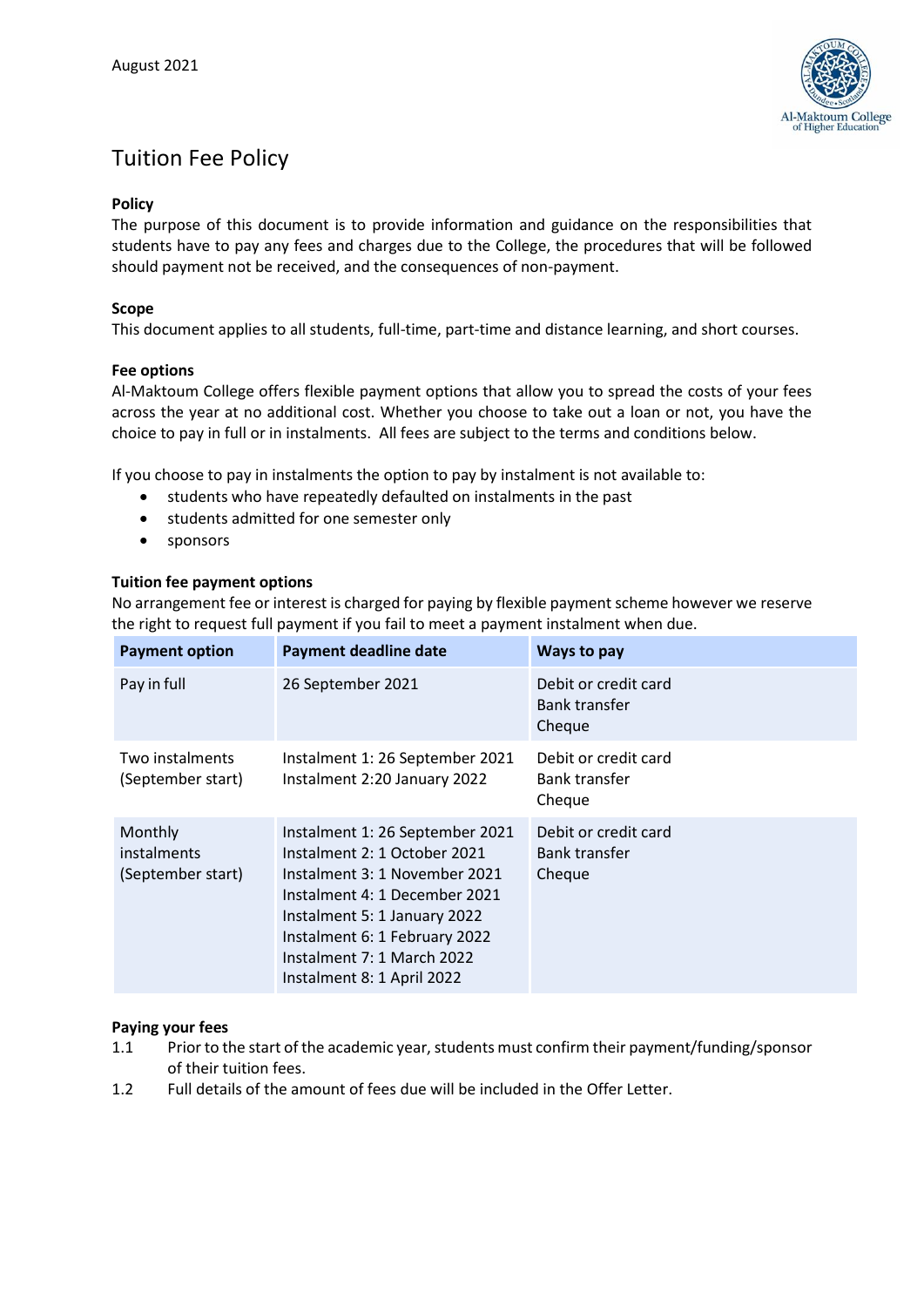

# Tuition Fee Policy

## **Policy**

The purpose of this document is to provide information and guidance on the responsibilities that students have to pay any fees and charges due to the College, the procedures that will be followed should payment not be received, and the consequences of non-payment.

## **Scope**

This document applies to all students, full-time, part-time and distance learning, and short courses.

#### **Fee options**

Al-Maktoum College offers flexible payment options that allow you to spread the costs of your fees across the year at no additional cost. Whether you choose to take out a loan or not, you have the choice to pay in full or in instalments. All fees are subject to the terms and conditions below.

If you choose to pay in instalments the option to pay by instalment is not available to:

- students who have repeatedly defaulted on instalments in the past
- students admitted for one semester only
- sponsors

## **Tuition fee payment options**

No arrangement fee or interest is charged for paying by flexible payment scheme however we reserve the right to request full payment if you fail to meet a payment instalment when due.

| <b>Payment option</b>                       | <b>Payment deadline date</b>                                                                                                                                                                                                                                   | Ways to pay                                            |
|---------------------------------------------|----------------------------------------------------------------------------------------------------------------------------------------------------------------------------------------------------------------------------------------------------------------|--------------------------------------------------------|
| Pay in full                                 | 26 September 2021                                                                                                                                                                                                                                              | Debit or credit card<br><b>Bank transfer</b><br>Cheque |
| Two instalments<br>(September start)        | Instalment 1: 26 September 2021<br>Instalment 2:20 January 2022                                                                                                                                                                                                | Debit or credit card<br><b>Bank transfer</b><br>Cheque |
| Monthly<br>instalments<br>(September start) | Instalment 1: 26 September 2021<br>Instalment 2: 1 October 2021<br>Instalment 3: 1 November 2021<br>Instalment 4: 1 December 2021<br>Instalment 5: 1 January 2022<br>Instalment 6: 1 February 2022<br>Instalment 7: 1 March 2022<br>Instalment 8: 1 April 2022 | Debit or credit card<br><b>Bank transfer</b><br>Cheque |

#### **Paying your fees**

- 1.1 Prior to the start of the academic year, students must confirm their payment/funding/sponsor of their tuition fees.
- 1.2 Full details of the amount of fees due will be included in the Offer Letter.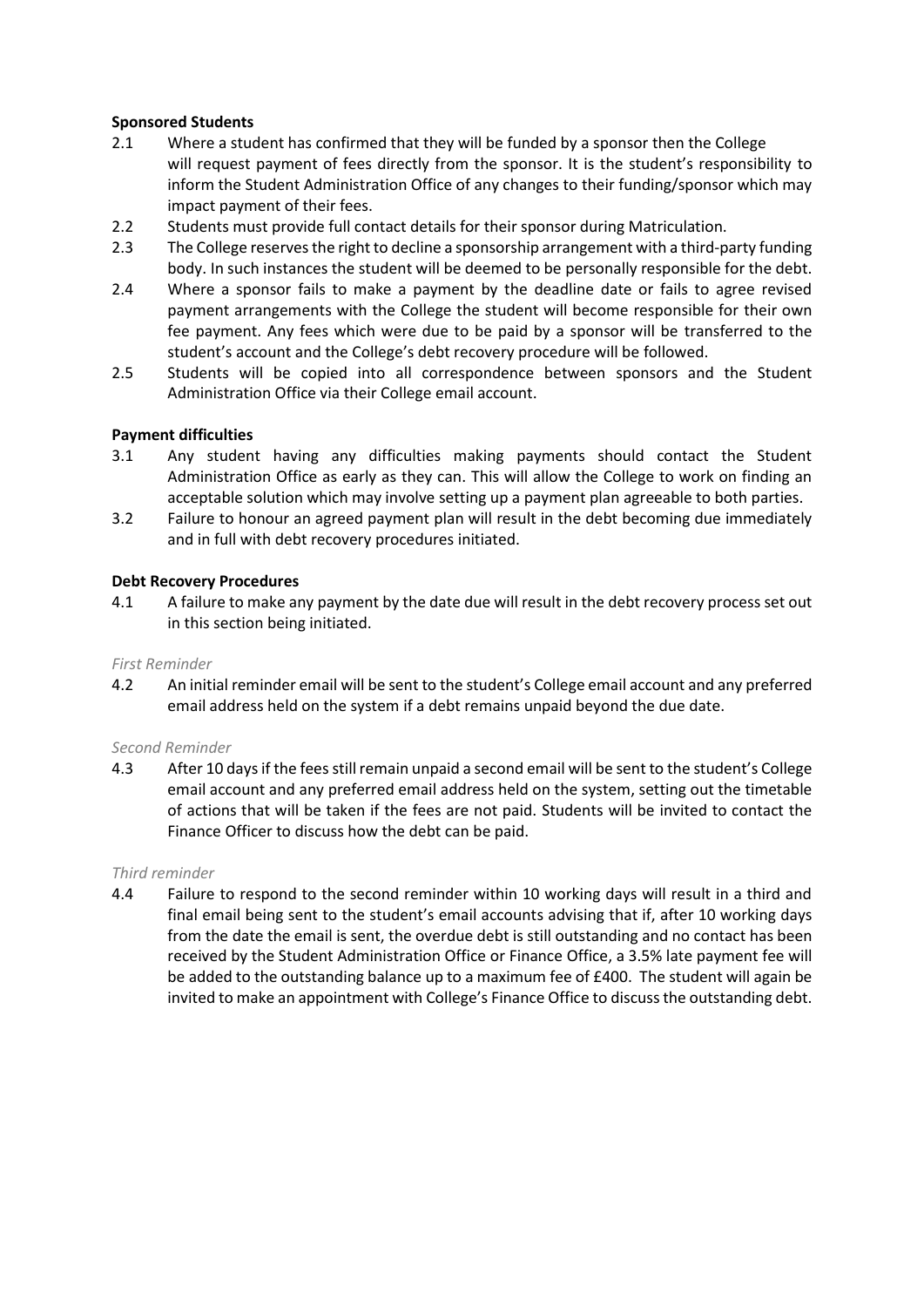## **Sponsored Students**

- 2.1 Where a student has confirmed that they will be funded by a sponsor then the College will request payment of fees directly from the sponsor. It is the student's responsibility to inform the Student Administration Office of any changes to their funding/sponsor which may impact payment of their fees.
- 2.2 Students must provide full contact details for their sponsor during Matriculation.
- 2.3 The College reserves the right to decline a sponsorship arrangement with a third-party funding body. In such instances the student will be deemed to be personally responsible for the debt.
- 2.4 Where a sponsor fails to make a payment by the deadline date or fails to agree revised payment arrangements with the College the student will become responsible for their own fee payment. Any fees which were due to be paid by a sponsor will be transferred to the student's account and the College's debt recovery procedure will be followed.
- 2.5 Students will be copied into all correspondence between sponsors and the Student Administration Office via their College email account.

#### **Payment difficulties**

- 3.1 Any student having any difficulties making payments should contact the Student Administration Office as early as they can. This will allow the College to work on finding an acceptable solution which may involve setting up a payment plan agreeable to both parties.
- 3.2 Failure to honour an agreed payment plan will result in the debt becoming due immediately and in full with debt recovery procedures initiated.

#### **Debt Recovery Procedures**

4.1 A failure to make any payment by the date due will result in the debt recovery process set out in this section being initiated.

#### *First Reminder*

4.2 An initial reminder email will be sent to the student's College email account and any preferred email address held on the system if a debt remains unpaid beyond the due date.

#### *Second Reminder*

4.3 After 10 days if the fees still remain unpaid a second email will be sent to the student's College email account and any preferred email address held on the system, setting out the timetable of actions that will be taken if the fees are not paid. Students will be invited to contact the Finance Officer to discuss how the debt can be paid.

#### *Third reminder*

4.4 Failure to respond to the second reminder within 10 working days will result in a third and final email being sent to the student's email accounts advising that if, after 10 working days from the date the email is sent, the overdue debt is still outstanding and no contact has been received by the Student Administration Office or Finance Office, a 3.5% late payment fee will be added to the outstanding balance up to a maximum fee of £400. The student will again be invited to make an appointment with College's Finance Office to discuss the outstanding debt.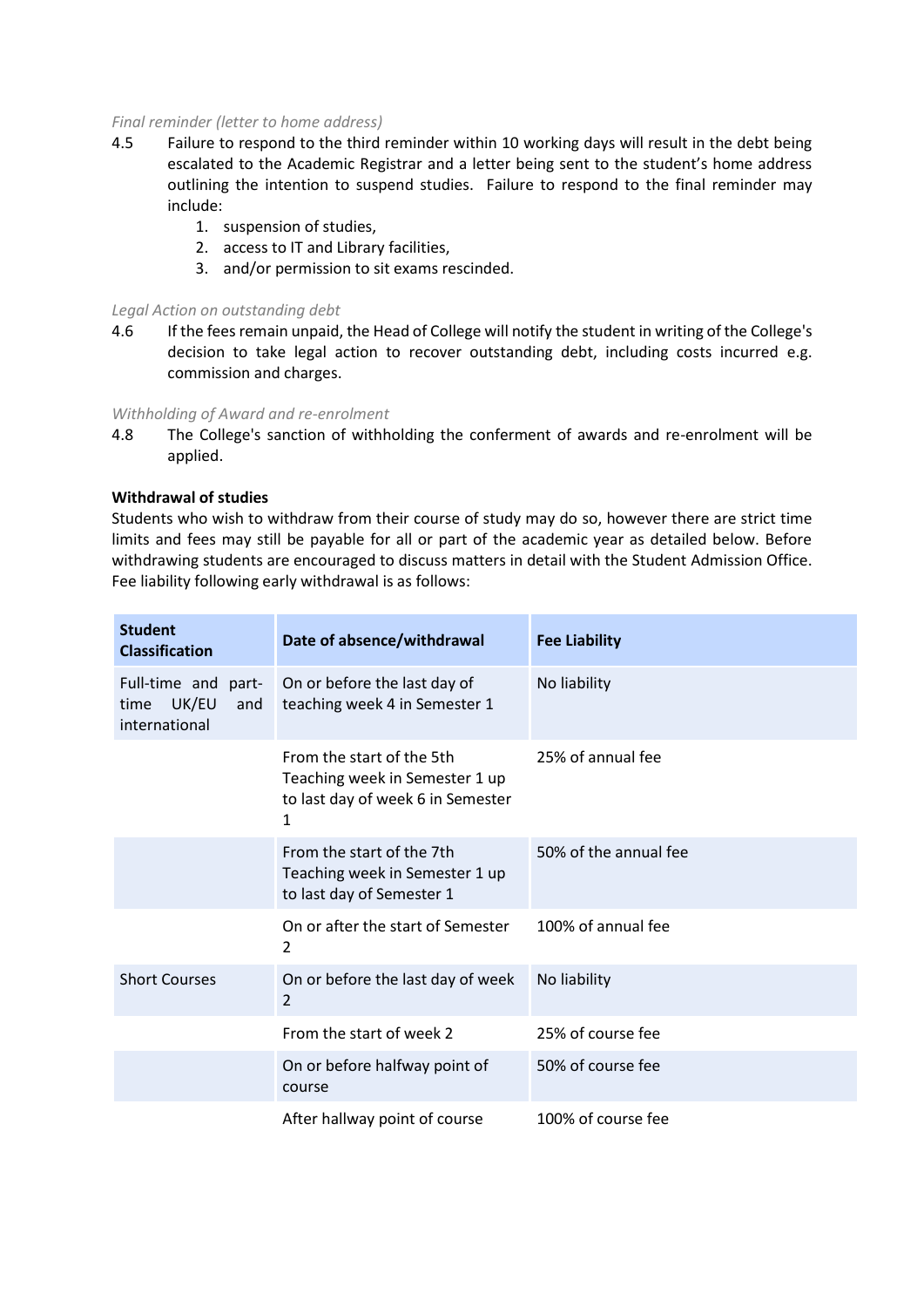#### *Final reminder (letter to home address)*

- 4.5 Failure to respond to the third reminder within 10 working days will result in the debt being escalated to the Academic Registrar and a letter being sent to the student's home address outlining the intention to suspend studies. Failure to respond to the final reminder may include:
	- 1. suspension of studies,
	- 2. access to IT and Library facilities,
	- 3. and/or permission to sit exams rescinded.

#### *Legal Action on outstanding debt*

4.6 If the fees remain unpaid, the Head of College will notify the student in writing of the College's decision to take legal action to recover outstanding debt, including costs incurred e.g. commission and charges.

#### *Withholding of Award and re-enrolment*

4.8 The College's sanction of withholding the conferment of awards and re-enrolment will be applied.

## **Withdrawal of studies**

Students who wish to withdraw from their course of study may do so, however there are strict time limits and fees may still be payable for all or part of the academic year as detailed below. Before withdrawing students are encouraged to discuss matters in detail with the Student Admission Office. Fee liability following early withdrawal is as follows:

| <b>Student</b><br><b>Classification</b>                      | Date of absence/withdrawal                                                                            | <b>Fee Liability</b>  |
|--------------------------------------------------------------|-------------------------------------------------------------------------------------------------------|-----------------------|
| Full-time and part-<br>UK/EU<br>and<br>time<br>international | On or before the last day of<br>teaching week 4 in Semester 1                                         | No liability          |
|                                                              | From the start of the 5th<br>Teaching week in Semester 1 up<br>to last day of week 6 in Semester<br>1 | 25% of annual fee     |
|                                                              | From the start of the 7th<br>Teaching week in Semester 1 up<br>to last day of Semester 1              | 50% of the annual fee |
|                                                              | On or after the start of Semester<br>2                                                                | 100% of annual fee    |
| <b>Short Courses</b>                                         | On or before the last day of week<br>$\overline{2}$                                                   | No liability          |
|                                                              | From the start of week 2                                                                              | 25% of course fee     |
|                                                              | On or before halfway point of<br>course                                                               | 50% of course fee     |
|                                                              | After hallway point of course                                                                         | 100% of course fee    |